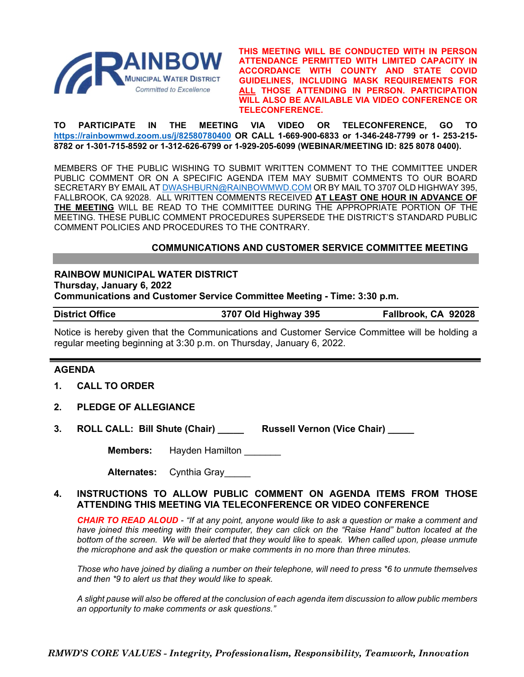

**THIS MEETING WILL BE CONDUCTED WITH IN PERSON ATTENDANCE PERMITTED WITH LIMITED CAPACITY IN ACCORDANCE WITH COUNTY AND STATE COVID GUIDELINES, INCLUDING MASK REQUIREMENTS FOR ALL THOSE ATTENDING IN PERSON. PARTICIPATION WILL ALSO BE AVAILABLE VIA VIDEO CONFERENCE OR TELECONFERENCE.**

**TO PARTICIPATE IN THE MEETING VIA VIDEO OR TELECONFERENCE, GO TO <https://rainbowmwd.zoom.us/j/82580780400> OR CALL 1-669-900-6833 or 1-346-248-7799 or 1- 253-215- 8782 or 1-301-715-8592 or 1-312-626-6799 or 1-929-205-6099 (WEBINAR/MEETING ID: 825 8078 0400).**

MEMBERS OF THE PUBLIC WISHING TO SUBMIT WRITTEN COMMENT TO THE COMMITTEE UNDER PUBLIC COMMENT OR ON A SPECIFIC AGENDA ITEM MAY SUBMIT COMMENTS TO OUR BOARD SECRETARY BY EMAIL A[T DWASHBURN@RAINBOWMWD.COM](mailto:DWASHBURN@RAINBOWMWD.COM) OR BY MAIL TO 3707 OLD HIGHWAY 395, FALLBROOK, CA 92028. ALL WRITTEN COMMENTS RECEIVED **AT LEAST ONE HOUR IN ADVANCE OF THE MEETING** WILL BE READ TO THE COMMITTEE DURING THE APPROPRIATE PORTION OF THE MEETING. THESE PUBLIC COMMENT PROCEDURES SUPERSEDE THE DISTRICT'S STANDARD PUBLIC COMMENT POLICIES AND PROCEDURES TO THE CONTRARY.

## **COMMUNICATIONS AND CUSTOMER SERVICE COMMITTEE MEETING**

**RAINBOW MUNICIPAL WATER DISTRICT Thursday, January 6, 2022 Communications and Customer Service Committee Meeting - Time: 3:30 p.m.**

**District Office 3707 Old Highway 395 Fallbrook, CA 92028**

Notice is hereby given that the Communications and Customer Service Committee will be holding a regular meeting beginning at 3:30 p.m. on Thursday, January 6, 2022.

## **AGENDA**

- **1. CALL TO ORDER**
- **2. PLEDGE OF ALLEGIANCE**
- **3. ROLL CALL: Bill Shute (Chair) \_\_\_\_\_ Russell Vernon (Vice Chair) \_\_\_\_\_**

**Members:** Hayden Hamilton

**Alternates:** Cynthia Gray\_\_\_\_\_

## **4. INSTRUCTIONS TO ALLOW PUBLIC COMMENT ON AGENDA ITEMS FROM THOSE ATTENDING THIS MEETING VIA TELECONFERENCE OR VIDEO CONFERENCE**

*CHAIR TO READ ALOUD - "If at any point, anyone would like to ask a question or make a comment and have joined this meeting with their computer, they can click on the "Raise Hand" button located at the bottom of the screen. We will be alerted that they would like to speak. When called upon, please unmute the microphone and ask the question or make comments in no more than three minutes.*

*Those who have joined by dialing a number on their telephone, will need to press \*6 to unmute themselves and then \*9 to alert us that they would like to speak.*

*A slight pause will also be offered at the conclusion of each agenda item discussion to allow public members an opportunity to make comments or ask questions."*